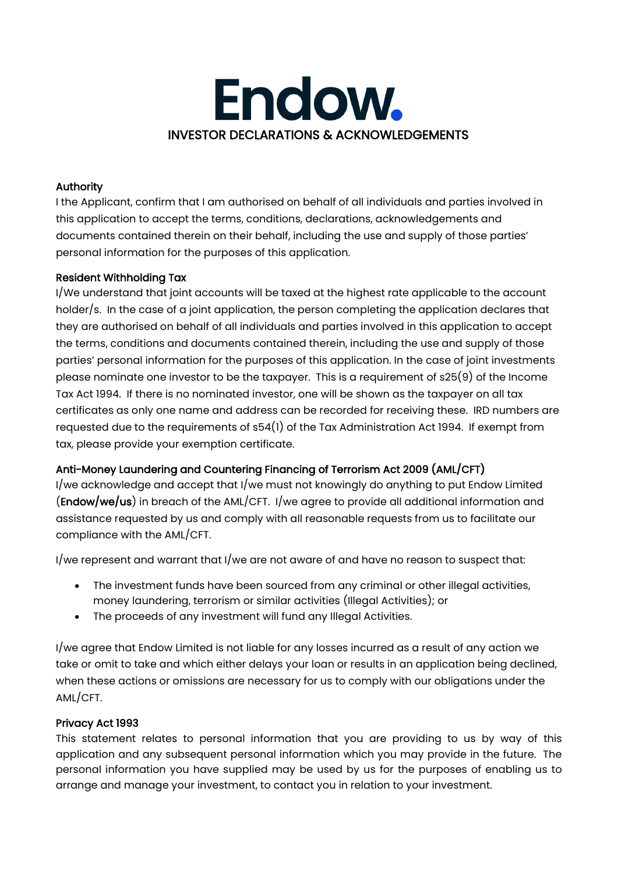

### Authority

I the Applicant, confirm that I am authorised on behalf of all individuals and parties involved in this application to accept the terms, conditions, declarations, acknowledgements and documents contained therein on their behalf, including the use and supply of those parties' personal information for the purposes of this application.

## Resident Withholding Tax

I/We understand that joint accounts will be taxed at the highest rate applicable to the account holder/s. In the case of a joint application, the person completing the application declares that they are authorised on behalf of all individuals and parties involved in this application to accept the terms, conditions and documents contained therein, including the use and supply of those parties' personal information for the purposes of this application. In the case of joint investments please nominate one investor to be the taxpayer. This is a requirement of s25(9) of the Income Tax Act 1994. If there is no nominated investor, one will be shown as the taxpayer on all tax certificates as only one name and address can be recorded for receiving these. IRD numbers are requested due to the requirements of s54(1) of the Tax Administration Act 1994. If exempt from tax, please provide your exemption certificate.

# Anti-Money Laundering and Countering Financing of Terrorism Act 2009 (AML/CFT)

I/we acknowledge and accept that I/we must not knowingly do anything to put Endow Limited (Endow/we/us) in breach of the AML/CFT. I/we agree to provide all additional information and assistance requested by us and comply with all reasonable requests from us to facilitate our compliance with the AML/CFT.

I/we represent and warrant that I/we are not aware of and have no reason to suspect that:

- The investment funds have been sourced from any criminal or other illegal activities, money laundering, terrorism or similar activities (Illegal Activities); or
- The proceeds of any investment will fund any Illegal Activities.

I/we agree that Endow Limited is not liable for any losses incurred as a result of any action we take or omit to take and which either delays your loan or results in an application being declined, when these actions or omissions are necessary for us to comply with our obligations under the AML/CFT.

# Privacy Act 1993

This statement relates to personal information that you are providing to us by way of this application and any subsequent personal information which you may provide in the future. The personal information you have supplied may be used by us for the purposes of enabling us to arrange and manage your investment, to contact you in relation to your investment.